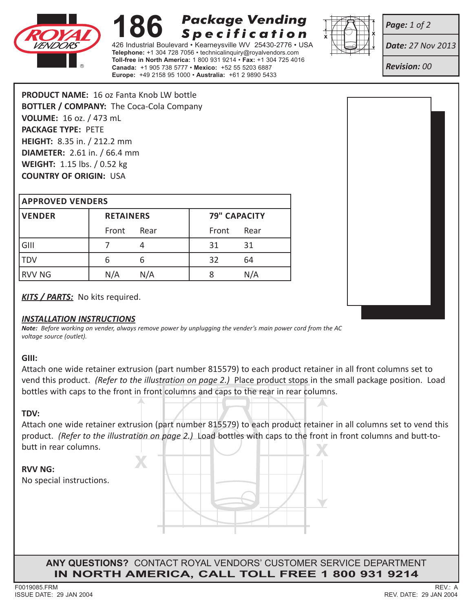

# **Package Vending 186** Package Vending<br><sup>426 Industrial Boulevard • Kearneysville WV 25430-2776 • US</sup> **Specification**

**Telephone:** +1 304 728 7056 • technicalinquiry@royalvendors.com **Toll-free in North America:** 1 800 931 9214 • **Fax:** +1 304 725 4016 **Canada:** +1 905 738 5777 • **Mexico:** +52 55 5203 6887 **Europe:** +49 2158 95 1000 • **Australia:** +61 2 9890 5433



*Page: 1 of 2*

*Date: 27 Nov 2013*

*Revision: 00*

**PRODUCT NAME:** 16 oz Fanta Knob LW bottle **BOTTLER / COMPANY:** The Coca-Cola Company **VOLUME:** 16 oz. / 473 mL **PACKAGE TYPE:** PETE **HEIGHT:** 8.35 in. / 212.2 mm **DIAMETER:** 2.61 in. / 66.4 mm **WEIGHT:** 1.15 lbs. / 0.52 kg **COUNTRY OF ORIGIN:** USA

#### **Approved Venders**

| <b>VENDER</b> | <b>RETAINERS</b> |      | <b>79" CAPACITY</b> |      |
|---------------|------------------|------|---------------------|------|
|               | Front            | Rear | Front               | Rear |
| GIII          |                  |      | 31                  | 31   |
| <b>TDV</b>    | ь                | b    | 32                  | 64   |
| <b>RVV NG</b> | N/A              | N/A  |                     | N/A  |

*KITS / PARTS:* No kits required.

### *INSTALLATION INSTRUCTIONS*

*Note: Before working on vender, always remove power by unplugging the vender's main power cord from the AC voltage source (outlet).*

### **GIII:**

Attach one wide retainer extrusion (part number 815579) to each product retainer in all front columns set to vend this product. *(Refer to the illustration on page 2.)* Place product stops in the small package position. Load bottles with caps to the front in front columns and caps to the rear in rear columns.

### **TDV:**

Attach one wide retainer extrusion (part number 815579) to each product retainer in all columns set to vend this product. *(Refer to the illustration on page 2.)* Load bottles with caps to the front in front columns and butt-tobutt in rear columns.

## **RVV NG:**

No special instructions.



**Any Questions?** Contact Royal Vendors' Customer Service Department **in north america, Call Toll Free 1 800 931 9214**